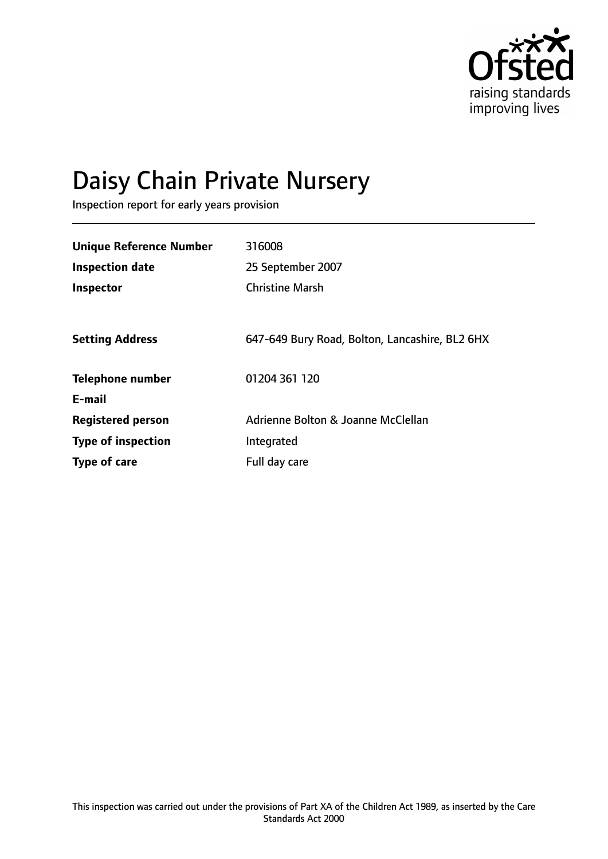

# Daisy Chain Private Nursery

Inspection report for early years provision

| <b>Unique Reference Number</b> | 316008                                         |
|--------------------------------|------------------------------------------------|
| <b>Inspection date</b>         | 25 September 2007                              |
| Inspector                      | <b>Christine Marsh</b>                         |
|                                |                                                |
| <b>Setting Address</b>         | 647-649 Bury Road, Bolton, Lancashire, BL2 6HX |
| <b>Telephone number</b>        | 01204 361 120                                  |
| E-mail                         |                                                |
| <b>Registered person</b>       | Adrienne Bolton & Joanne McClellan             |
| <b>Type of inspection</b>      | Integrated                                     |
| Type of care                   | Full day care                                  |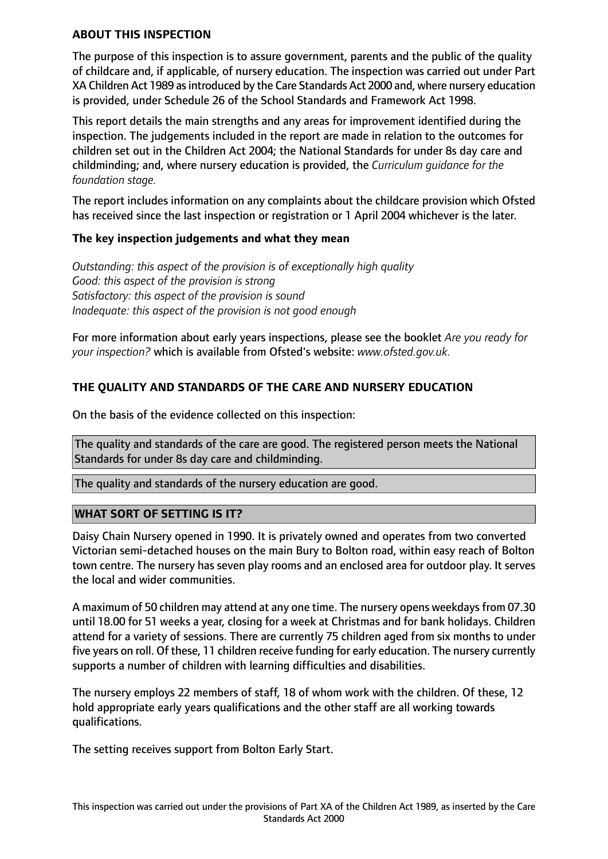#### **ABOUT THIS INSPECTION**

The purpose of this inspection is to assure government, parents and the public of the quality of childcare and, if applicable, of nursery education. The inspection was carried out under Part XA Children Act 1989 asintroduced by the Care Standards Act 2000 and, where nursery education is provided, under Schedule 26 of the School Standards and Framework Act 1998.

This report details the main strengths and any areas for improvement identified during the inspection. The judgements included in the report are made in relation to the outcomes for children set out in the Children Act 2004; the National Standards for under 8s day care and childminding; and, where nursery education is provided, the *Curriculum guidance for the foundation stage.*

The report includes information on any complaints about the childcare provision which Ofsted has received since the last inspection or registration or 1 April 2004 whichever is the later.

#### **The key inspection judgements and what they mean**

*Outstanding: this aspect of the provision is of exceptionally high quality Good: this aspect of the provision is strong Satisfactory: this aspect of the provision is sound Inadequate: this aspect of the provision is not good enough*

For more information about early years inspections, please see the booklet *Are you ready for your inspection?* which is available from Ofsted's website: *www.ofsted.gov.uk.*

# **THE QUALITY AND STANDARDS OF THE CARE AND NURSERY EDUCATION**

On the basis of the evidence collected on this inspection:

The quality and standards of the care are good. The registered person meets the National Standards for under 8s day care and childminding.

The quality and standards of the nursery education are good.

## **WHAT SORT OF SETTING IS IT?**

Daisy Chain Nursery opened in 1990. It is privately owned and operates from two converted Victorian semi-detached houses on the main Bury to Bolton road, within easy reach of Bolton town centre. The nursery has seven play rooms and an enclosed area for outdoor play. It serves the local and wider communities.

A maximum of 50 children may attend at any one time. The nursery opens weekdays from 07.30 until 18.00 for 51 weeks a year, closing for a week at Christmas and for bank holidays. Children attend for a variety of sessions. There are currently 75 children aged from six months to under five years on roll. Of these, 11 children receive funding for early education. The nursery currently supports a number of children with learning difficulties and disabilities.

The nursery employs 22 members of staff, 18 of whom work with the children. Of these, 12 hold appropriate early years qualifications and the other staff are all working towards qualifications.

The setting receives support from Bolton Early Start.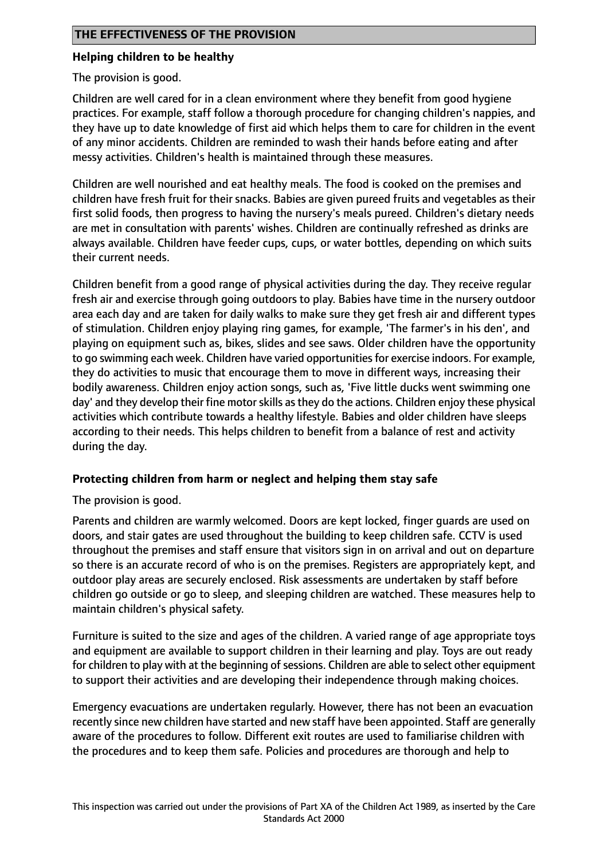## **Helping children to be healthy**

The provision is good.

Children are well cared for in a clean environment where they benefit from good hygiene practices. For example, staff follow a thorough procedure for changing children's nappies, and they have up to date knowledge of first aid which helps them to care for children in the event of any minor accidents. Children are reminded to wash their hands before eating and after messy activities. Children's health is maintained through these measures.

Children are well nourished and eat healthy meals. The food is cooked on the premises and children have fresh fruit for their snacks. Babies are given pureed fruits and vegetables as their first solid foods, then progress to having the nursery's meals pureed. Children's dietary needs are met in consultation with parents' wishes. Children are continually refreshed as drinks are always available. Children have feeder cups, cups, or water bottles, depending on which suits their current needs.

Children benefit from a good range of physical activities during the day. They receive regular fresh air and exercise through going outdoors to play. Babies have time in the nursery outdoor area each day and are taken for daily walks to make sure they get fresh air and different types of stimulation. Children enjoy playing ring games, for example, 'The farmer's in his den', and playing on equipment such as, bikes, slides and see saws. Older children have the opportunity to go swimming each week. Children have varied opportunitiesfor exercise indoors. For example, they do activities to music that encourage them to move in different ways, increasing their bodily awareness. Children enjoy action songs, such as, 'Five little ducks went swimming one day' and they develop their fine motorskills asthey do the actions. Children enjoy these physical activities which contribute towards a healthy lifestyle. Babies and older children have sleeps according to their needs. This helps children to benefit from a balance of rest and activity during the day.

## **Protecting children from harm or neglect and helping them stay safe**

The provision is good.

Parents and children are warmly welcomed. Doors are kept locked, finger guards are used on doors, and stair gates are used throughout the building to keep children safe. CCTV is used throughout the premises and staff ensure that visitors sign in on arrival and out on departure so there is an accurate record of who is on the premises. Registers are appropriately kept, and outdoor play areas are securely enclosed. Risk assessments are undertaken by staff before children go outside or go to sleep, and sleeping children are watched. These measures help to maintain children's physical safety.

Furniture is suited to the size and ages of the children. A varied range of age appropriate toys and equipment are available to support children in their learning and play. Toys are out ready for children to play with at the beginning of sessions. Children are able to select other equipment to support their activities and are developing their independence through making choices.

Emergency evacuations are undertaken regularly. However, there has not been an evacuation recently since new children have started and new staff have been appointed. Staff are generally aware of the procedures to follow. Different exit routes are used to familiarise children with the procedures and to keep them safe. Policies and procedures are thorough and help to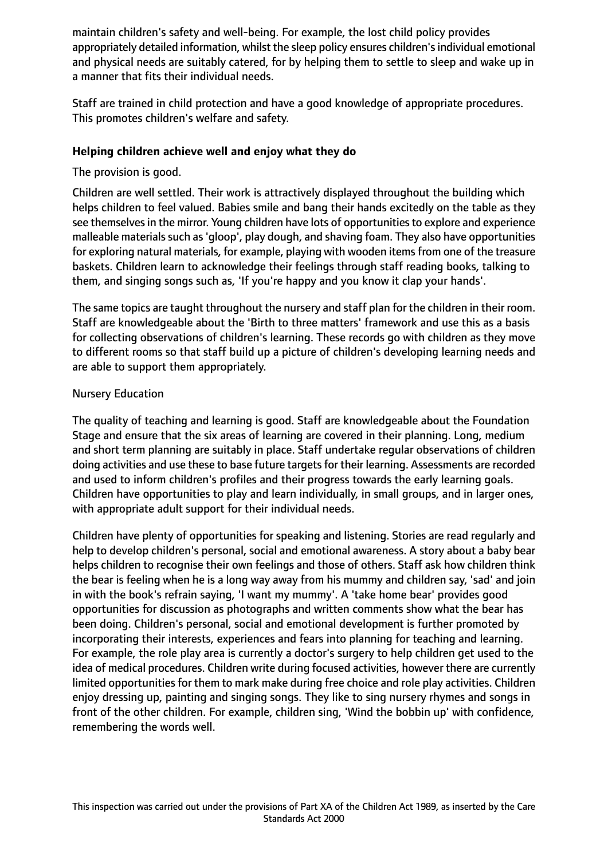maintain children's safety and well-being. For example, the lost child policy provides appropriately detailed information, whilst the sleep policy ensures children's individual emotional and physical needs are suitably catered, for by helping them to settle to sleep and wake up in a manner that fits their individual needs.

Staff are trained in child protection and have a good knowledge of appropriate procedures. This promotes children's welfare and safety.

## **Helping children achieve well and enjoy what they do**

The provision is good.

Children are well settled. Their work is attractively displayed throughout the building which helps children to feel valued. Babies smile and bang their hands excitedly on the table as they see themselves in the mirror. Young children have lots of opportunities to explore and experience malleable materials such as 'qloop', play dough, and shaving foam. They also have opportunities for exploring natural materials, for example, playing with wooden items from one of the treasure baskets. Children learn to acknowledge their feelings through staff reading books, talking to them, and singing songs such as, 'If you're happy and you know it clap your hands'.

The same topics are taught throughout the nursery and staff plan for the children in their room. Staff are knowledgeable about the 'Birth to three matters' framework and use this as a basis for collecting observations of children's learning. These records go with children as they move to different rooms so that staff build up a picture of children's developing learning needs and are able to support them appropriately.

# Nursery Education

The quality of teaching and learning is good. Staff are knowledgeable about the Foundation Stage and ensure that the six areas of learning are covered in their planning. Long, medium and short term planning are suitably in place. Staff undertake regular observations of children doing activities and use these to base future targetsfor their learning. Assessments are recorded and used to inform children's profiles and their progress towards the early learning goals. Children have opportunities to play and learn individually, in small groups, and in larger ones, with appropriate adult support for their individual needs.

Children have plenty of opportunities for speaking and listening. Stories are read regularly and help to develop children's personal, social and emotional awareness. A story about a baby bear helps children to recognise their own feelings and those of others. Staff ask how children think the bear is feeling when he is a long way away from his mummy and children say, 'sad' and join in with the book's refrain saying, 'I want my mummy'. A 'take home bear' provides good opportunities for discussion as photographs and written comments show what the bear has been doing. Children's personal, social and emotional development is further promoted by incorporating their interests, experiences and fears into planning for teaching and learning. For example, the role play area is currently a doctor's surgery to help children get used to the idea of medical procedures. Children write during focused activities, however there are currently limited opportunities for them to mark make during free choice and role play activities. Children enjoy dressing up, painting and singing songs. They like to sing nursery rhymes and songs in front of the other children. For example, children sing, 'Wind the bobbin up' with confidence, remembering the words well.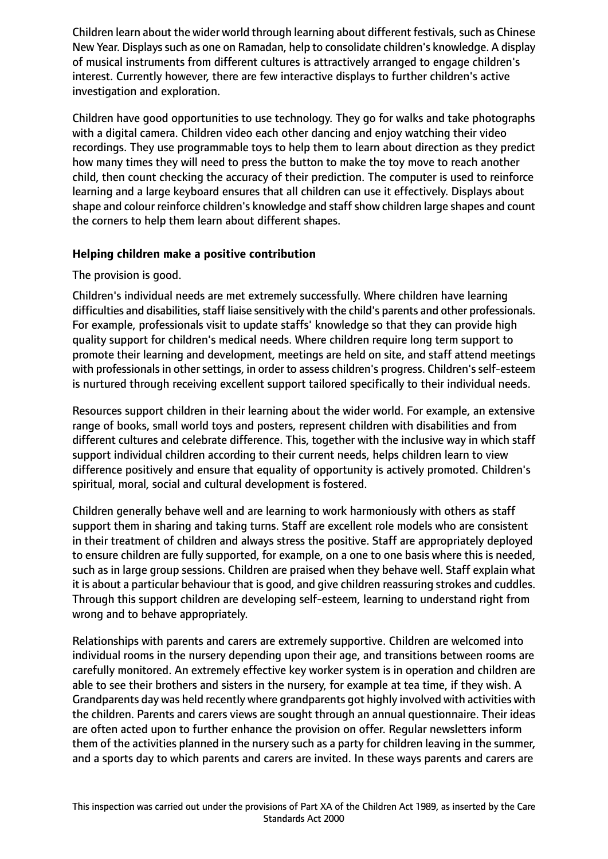Children learn about the wider world through learning about different festivals, such as Chinese New Year. Displays such as one on Ramadan, help to consolidate children's knowledge. A display of musical instruments from different cultures is attractively arranged to engage children's interest. Currently however, there are few interactive displays to further children's active investigation and exploration.

Children have good opportunities to use technology. They go for walks and take photographs with a digital camera. Children video each other dancing and enjoy watching their video recordings. They use programmable toys to help them to learn about direction as they predict how many times they will need to press the button to make the toy move to reach another child, then count checking the accuracy of their prediction. The computer is used to reinforce learning and a large keyboard ensures that all children can use it effectively. Displays about shape and colour reinforce children's knowledge and staff show children large shapes and count the corners to help them learn about different shapes.

## **Helping children make a positive contribution**

# The provision is good.

Children's individual needs are met extremely successfully. Where children have learning difficulties and disabilities, staff liaise sensitively with the child's parents and other professionals. For example, professionals visit to update staffs' knowledge so that they can provide high quality support for children's medical needs. Where children require long term support to promote their learning and development, meetings are held on site, and staff attend meetings with professionals in other settings, in order to assess children's progress. Children's self-esteem is nurtured through receiving excellent support tailored specifically to their individual needs.

Resources support children in their learning about the wider world. For example, an extensive range of books, small world toys and posters, represent children with disabilities and from different cultures and celebrate difference. This, together with the inclusive way in which staff support individual children according to their current needs, helps children learn to view difference positively and ensure that equality of opportunity is actively promoted. Children's spiritual, moral, social and cultural development is fostered.

Children generally behave well and are learning to work harmoniously with others as staff support them in sharing and taking turns. Staff are excellent role models who are consistent in their treatment of children and always stress the positive. Staff are appropriately deployed to ensure children are fully supported, for example, on a one to one basis where this is needed, such as in large group sessions. Children are praised when they behave well. Staff explain what it is about a particular behaviour that is good, and give children reassuring strokes and cuddles. Through this support children are developing self-esteem, learning to understand right from wrong and to behave appropriately.

Relationships with parents and carers are extremely supportive. Children are welcomed into individual rooms in the nursery depending upon their age, and transitions between rooms are carefully monitored. An extremely effective key worker system is in operation and children are able to see their brothers and sisters in the nursery, for example at tea time, if they wish. A Grandparents day was held recently where grandparents got highly involved with activities with the children. Parents and carers views are sought through an annual questionnaire. Their ideas are often acted upon to further enhance the provision on offer. Regular newsletters inform them of the activities planned in the nursery such as a party for children leaving in the summer, and a sports day to which parents and carers are invited. In these ways parents and carers are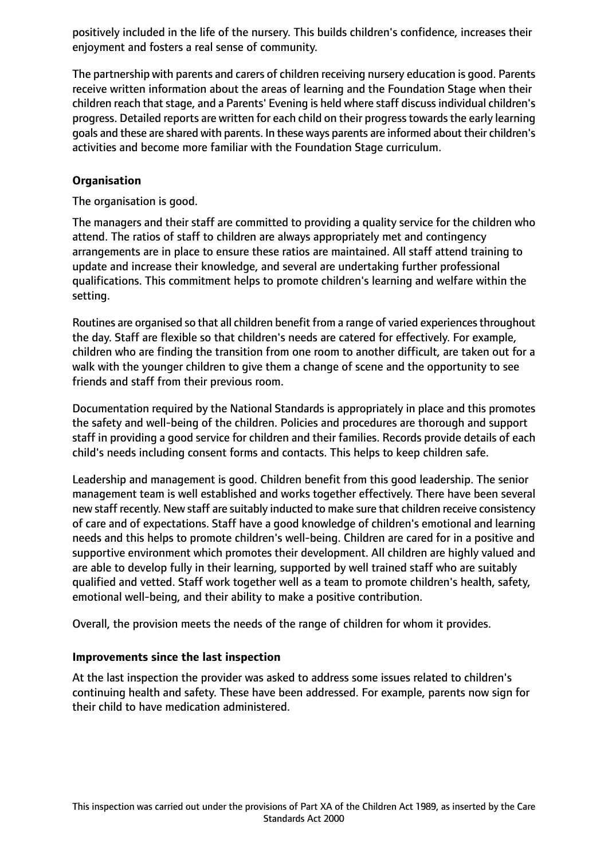positively included in the life of the nursery. This builds children's confidence, increases their enjoyment and fosters a real sense of community.

The partnership with parents and carers of children receiving nursery education is good. Parents receive written information about the areas of learning and the Foundation Stage when their children reach that stage, and a Parents' Evening is held where staff discuss individual children's progress. Detailed reports are written for each child on their progresstowardsthe early learning goals and these are shared with parents. In these ways parents are informed about their children's activities and become more familiar with the Foundation Stage curriculum.

# **Organisation**

The organisation is good.

The managers and their staff are committed to providing a quality service for the children who attend. The ratios of staff to children are always appropriately met and contingency arrangements are in place to ensure these ratios are maintained. All staff attend training to update and increase their knowledge, and several are undertaking further professional qualifications. This commitment helps to promote children's learning and welfare within the setting.

Routines are organised so that all children benefit from a range of varied experiencesthroughout the day. Staff are flexible so that children's needs are catered for effectively. For example, children who are finding the transition from one room to another difficult, are taken out for a walk with the younger children to give them a change of scene and the opportunity to see friends and staff from their previous room.

Documentation required by the National Standards is appropriately in place and this promotes the safety and well-being of the children. Policies and procedures are thorough and support staff in providing a good service for children and their families. Records provide details of each child's needs including consent forms and contacts. This helps to keep children safe.

Leadership and management is good. Children benefit from this good leadership. The senior management team is well established and works together effectively. There have been several new staff recently. New staff are suitably inducted to make sure that children receive consistency of care and of expectations. Staff have a good knowledge of children's emotional and learning needs and this helps to promote children's well-being. Children are cared for in a positive and supportive environment which promotes their development. All children are highly valued and are able to develop fully in their learning, supported by well trained staff who are suitably qualified and vetted. Staff work together well as a team to promote children's health, safety, emotional well-being, and their ability to make a positive contribution.

Overall, the provision meets the needs of the range of children for whom it provides.

## **Improvements since the last inspection**

At the last inspection the provider was asked to address some issues related to children's continuing health and safety. These have been addressed. For example, parents now sign for their child to have medication administered.